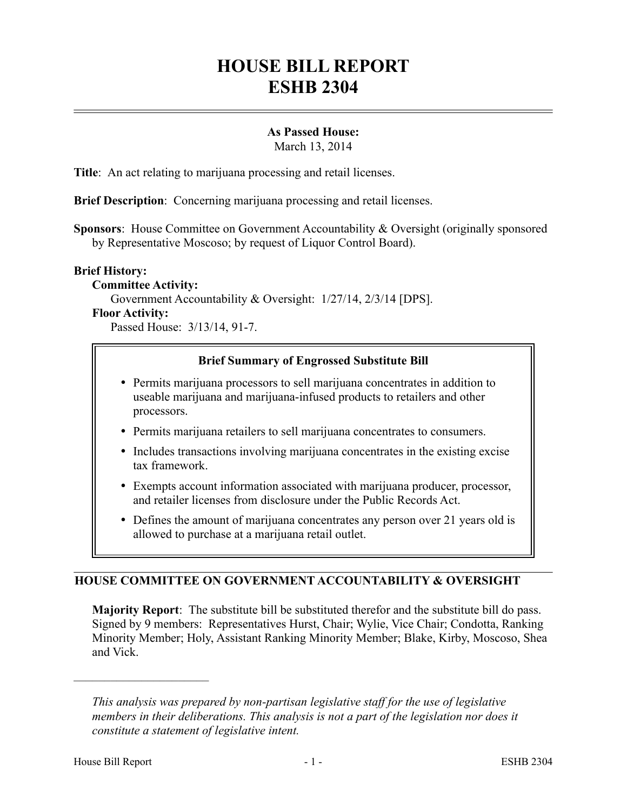# **HOUSE BILL REPORT ESHB 2304**

# **As Passed House:**

March 13, 2014

**Title**: An act relating to marijuana processing and retail licenses.

**Brief Description**: Concerning marijuana processing and retail licenses.

**Sponsors**: House Committee on Government Accountability & Oversight (originally sponsored by Representative Moscoso; by request of Liquor Control Board).

#### **Brief History:**

**Committee Activity:** Government Accountability & Oversight: 1/27/14, 2/3/14 [DPS]. **Floor Activity:**

Passed House: 3/13/14, 91-7.

# **Brief Summary of Engrossed Substitute Bill**

- Permits marijuana processors to sell marijuana concentrates in addition to useable marijuana and marijuana-infused products to retailers and other processors.
- Permits marijuana retailers to sell marijuana concentrates to consumers.
- Includes transactions involving marijuana concentrates in the existing excise tax framework.
- Exempts account information associated with marijuana producer, processor, and retailer licenses from disclosure under the Public Records Act.
- Defines the amount of marijuana concentrates any person over 21 years old is allowed to purchase at a marijuana retail outlet.

# **HOUSE COMMITTEE ON GOVERNMENT ACCOUNTABILITY & OVERSIGHT**

**Majority Report**: The substitute bill be substituted therefor and the substitute bill do pass. Signed by 9 members: Representatives Hurst, Chair; Wylie, Vice Chair; Condotta, Ranking Minority Member; Holy, Assistant Ranking Minority Member; Blake, Kirby, Moscoso, Shea and Vick.

––––––––––––––––––––––

*This analysis was prepared by non-partisan legislative staff for the use of legislative members in their deliberations. This analysis is not a part of the legislation nor does it constitute a statement of legislative intent.*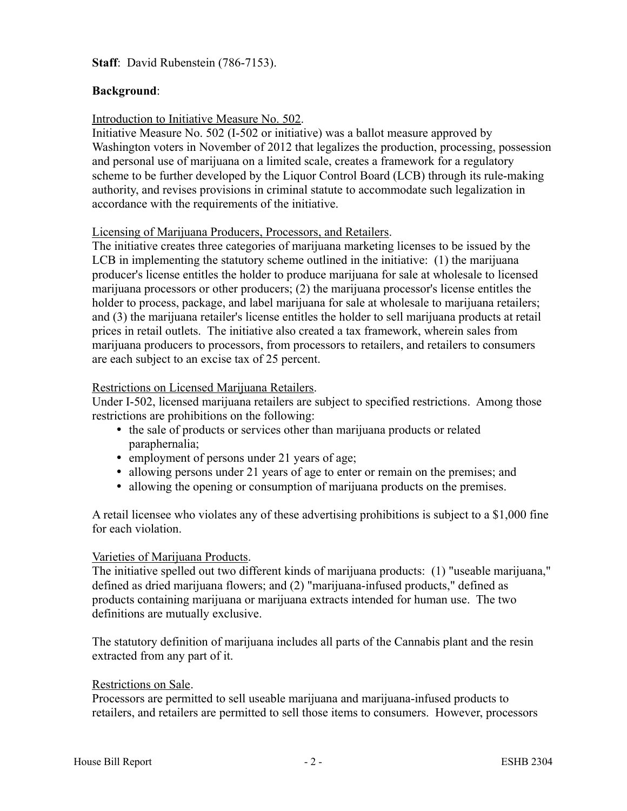**Staff**: David Rubenstein (786-7153).

# **Background**:

#### Introduction to Initiative Measure No. 502.

Initiative Measure No. 502 (I-502 or initiative) was a ballot measure approved by Washington voters in November of 2012 that legalizes the production, processing, possession and personal use of marijuana on a limited scale, creates a framework for a regulatory scheme to be further developed by the Liquor Control Board (LCB) through its rule-making authority, and revises provisions in criminal statute to accommodate such legalization in accordance with the requirements of the initiative.

#### Licensing of Marijuana Producers, Processors, and Retailers.

The initiative creates three categories of marijuana marketing licenses to be issued by the LCB in implementing the statutory scheme outlined in the initiative: (1) the marijuana producer's license entitles the holder to produce marijuana for sale at wholesale to licensed marijuana processors or other producers; (2) the marijuana processor's license entitles the holder to process, package, and label marijuana for sale at wholesale to marijuana retailers; and (3) the marijuana retailer's license entitles the holder to sell marijuana products at retail prices in retail outlets. The initiative also created a tax framework, wherein sales from marijuana producers to processors, from processors to retailers, and retailers to consumers are each subject to an excise tax of 25 percent.

#### Restrictions on Licensed Marijuana Retailers.

Under I-502, licensed marijuana retailers are subject to specified restrictions. Among those restrictions are prohibitions on the following:

- the sale of products or services other than marijuana products or related paraphernalia;
- employment of persons under 21 years of age;
- allowing persons under 21 years of age to enter or remain on the premises; and
- allowing the opening or consumption of marijuana products on the premises.

A retail licensee who violates any of these advertising prohibitions is subject to a \$1,000 fine for each violation.

# Varieties of Marijuana Products.

The initiative spelled out two different kinds of marijuana products: (1) "useable marijuana," defined as dried marijuana flowers; and (2) "marijuana-infused products," defined as products containing marijuana or marijuana extracts intended for human use. The two definitions are mutually exclusive.

The statutory definition of marijuana includes all parts of the Cannabis plant and the resin extracted from any part of it.

#### Restrictions on Sale.

Processors are permitted to sell useable marijuana and marijuana-infused products to retailers, and retailers are permitted to sell those items to consumers. However, processors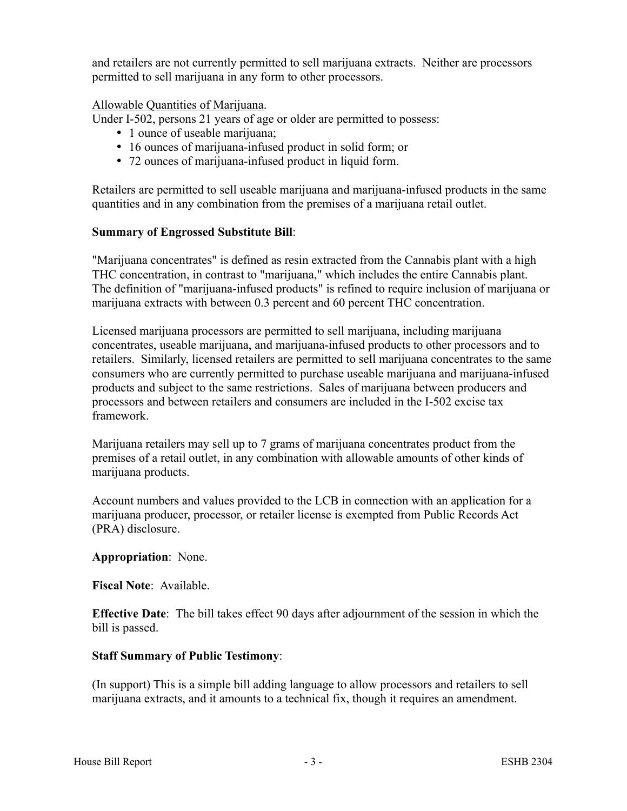and retailers are not currently permitted to sell marijuana extracts. Neither are processors permitted to sell marijuana in any form to other processors.

#### Allowable Quantities of Marijuana.

Under I-502, persons 21 years of age or older are permitted to possess:

- 1 ounce of useable marijuana;
- 16 ounces of marijuana-infused product in solid form; or
- 72 ounces of marijuana-infused product in liquid form.

Retailers are permitted to sell useable marijuana and marijuana-infused products in the same quantities and in any combination from the premises of a marijuana retail outlet.

#### **Summary of Engrossed Substitute Bill**:

"Marijuana concentrates" is defined as resin extracted from the Cannabis plant with a high THC concentration, in contrast to "marijuana," which includes the entire Cannabis plant. The definition of "marijuana-infused products" is refined to require inclusion of marijuana or marijuana extracts with between 0.3 percent and 60 percent THC concentration.

Licensed marijuana processors are permitted to sell marijuana, including marijuana concentrates, useable marijuana, and marijuana-infused products to other processors and to retailers. Similarly, licensed retailers are permitted to sell marijuana concentrates to the same consumers who are currently permitted to purchase useable marijuana and marijuana-infused products and subject to the same restrictions. Sales of marijuana between producers and processors and between retailers and consumers are included in the I-502 excise tax framework.

Marijuana retailers may sell up to 7 grams of marijuana concentrates product from the premises of a retail outlet, in any combination with allowable amounts of other kinds of marijuana products.

Account numbers and values provided to the LCB in connection with an application for a marijuana producer, processor, or retailer license is exempted from Public Records Act (PRA) disclosure.

#### **Appropriation**: None.

**Fiscal Note**: Available.

**Effective Date**: The bill takes effect 90 days after adjournment of the session in which the bill is passed.

# **Staff Summary of Public Testimony**:

(In support) This is a simple bill adding language to allow processors and retailers to sell marijuana extracts, and it amounts to a technical fix, though it requires an amendment.